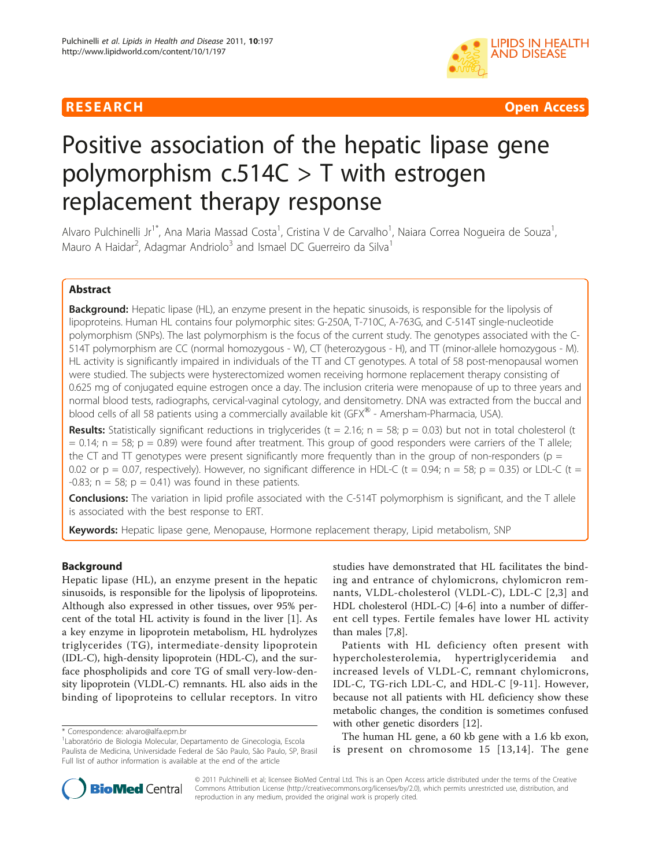



# Positive association of the hepatic lipase gene polymorphism  $c.514C > T$  with estrogen replacement therapy response

Alvaro Pulchinelli Jr<sup>1\*</sup>, Ana Maria Massad Costa<sup>1</sup>, Cristina V de Carvalho<sup>1</sup>, Naiara Correa Nogueira de Souza<sup>1</sup> , Mauro A Haidar<sup>2</sup>, Adagmar Andriolo<sup>3</sup> and Ismael DC Guerreiro da Silva<sup>1</sup>

# Abstract

**Background:** Hepatic lipase (HL), an enzyme present in the hepatic sinusoids, is responsible for the lipolysis of lipoproteins. Human HL contains four polymorphic sites: G-250A, T-710C, A-763G, and C-514T single-nucleotide polymorphism (SNPs). The last polymorphism is the focus of the current study. The genotypes associated with the C-514T polymorphism are CC (normal homozygous - W), CT (heterozygous - H), and TT (minor-allele homozygous - M). HL activity is significantly impaired in individuals of the TT and CT genotypes. A total of 58 post-menopausal women were studied. The subjects were hysterectomized women receiving hormone replacement therapy consisting of 0.625 mg of conjugated equine estrogen once a day. The inclusion criteria were menopause of up to three years and normal blood tests, radiographs, cervical-vaginal cytology, and densitometry. DNA was extracted from the buccal and blood cells of all 58 patients using a commercially available kit (GFX® - Amersham-Pharmacia, USA).

**Results:** Statistically significant reductions in triglycerides (t = 2.16; n = 58; p = 0.03) but not in total cholesterol (t  $= 0.14$ ; n = 58; p = 0.89) were found after treatment. This group of good responders were carriers of the T allele; the CT and TT genotypes were present significantly more frequently than in the group of non-responders ( $p =$ 0.02 or  $p = 0.07$ , respectively). However, no significant difference in HDL-C (t = 0.94; n = 58;  $p = 0.35$ ) or LDL-C (t = -0.83;  $n = 58$ ;  $p = 0.41$ ) was found in these patients.

Conclusions: The variation in lipid profile associated with the C-514T polymorphism is significant, and the T allele is associated with the best response to ERT.

Keywords: Hepatic lipase gene, Menopause, Hormone replacement therapy, Lipid metabolism, SNP

# Background

Hepatic lipase (HL), an enzyme present in the hepatic sinusoids, is responsible for the lipolysis of lipoproteins. Although also expressed in other tissues, over 95% percent of the total HL activity is found in the liver [\[1\]](#page-6-0). As a key enzyme in lipoprotein metabolism, HL hydrolyzes triglycerides (TG), intermediate-density lipoprotein (IDL-C), high-density lipoprotein (HDL-C), and the surface phospholipids and core TG of small very-low-density lipoprotein (VLDL-C) remnants. HL also aids in the binding of lipoproteins to cellular receptors. In vitro

studies have demonstrated that HL facilitates the binding and entrance of chylomicrons, chylomicron remnants, VLDL-cholesterol (VLDL-C), LDL-C [[2](#page-6-0),[3\]](#page-6-0) and HDL cholesterol (HDL-C) [\[4](#page-6-0)-[6\]](#page-7-0) into a number of different cell types. Fertile females have lower HL activity than males [[7,8\]](#page-7-0).

Patients with HL deficiency often present with hypercholesterolemia, hypertriglyceridemia and increased levels of VLDL-C, remnant chylomicrons, IDL-C, TG-rich LDL-C, and HDL-C [[9-11\]](#page-7-0). However, because not all patients with HL deficiency show these metabolic changes, the condition is sometimes confused with other genetic disorders [\[12](#page-7-0)].

The human HL gene, a 60 kb gene with a 1.6 kb exon, is present on chromosome 15 [[13](#page-7-0),[14\]](#page-7-0). The gene



© 2011 Pulchinelli et al; licensee BioMed Central Ltd. This is an Open Access article distributed under the terms of the Creative Commons Attribution License [\(http://creativecommons.org/licenses/by/2.0](http://creativecommons.org/licenses/by/2.0)), which permits unrestricted use, distribution, and reproduction in any medium, provided the original work is properly cited.

<sup>\*</sup> Correspondence: [alvaro@alfa.epm.br](mailto:alvaro@alfa.epm.br)

<sup>&</sup>lt;sup>1</sup> Laboratório de Biologia Molecular, Departamento de Ginecologia, Escola Paulista de Medicina, Universidade Federal de São Paulo, São Paulo, SP, Brasil Full list of author information is available at the end of the article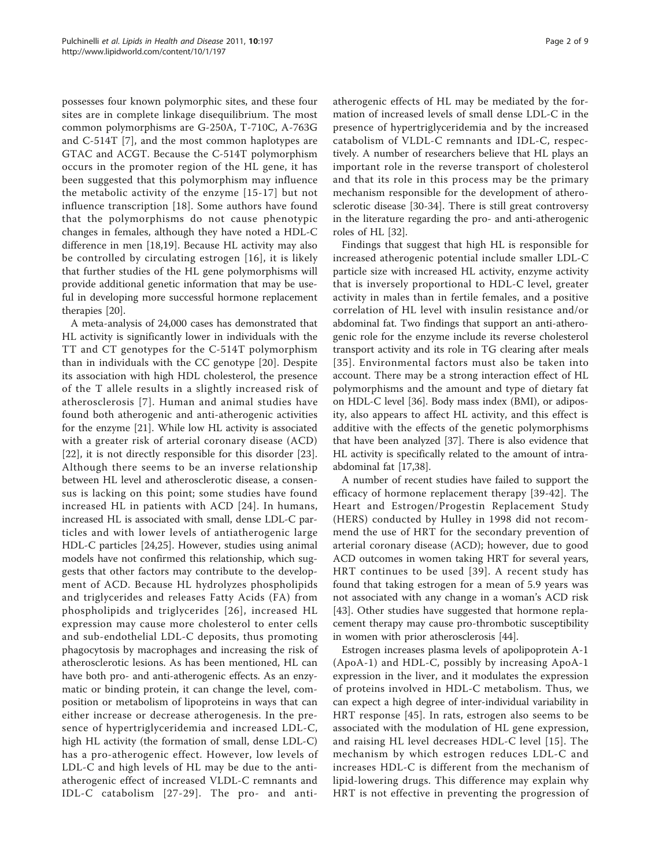possesses four known polymorphic sites, and these four sites are in complete linkage disequilibrium. The most common polymorphisms are G-250A, T-710C, A-763G and C-514T [[7\]](#page-7-0), and the most common haplotypes are GTAC and ACGT. Because the C-514T polymorphism occurs in the promoter region of the HL gene, it has been suggested that this polymorphism may influence the metabolic activity of the enzyme [[15-17\]](#page-7-0) but not influence transcription [[18](#page-7-0)]. Some authors have found that the polymorphisms do not cause phenotypic changes in females, although they have noted a HDL-C difference in men [\[18,19](#page-7-0)]. Because HL activity may also be controlled by circulating estrogen [[16](#page-7-0)], it is likely that further studies of the HL gene polymorphisms will provide additional genetic information that may be useful in developing more successful hormone replacement therapies [[20\]](#page-7-0).

A meta-analysis of 24,000 cases has demonstrated that HL activity is significantly lower in individuals with the TT and CT genotypes for the C-514T polymorphism than in individuals with the CC genotype [[20](#page-7-0)]. Despite its association with high HDL cholesterol, the presence of the T allele results in a slightly increased risk of atherosclerosis [\[7\]](#page-7-0). Human and animal studies have found both atherogenic and anti-atherogenic activities for the enzyme [[21\]](#page-7-0). While low HL activity is associated with a greater risk of arterial coronary disease (ACD) [[22\]](#page-7-0), it is not directly responsible for this disorder [[23](#page-7-0)]. Although there seems to be an inverse relationship between HL level and atherosclerotic disease, a consensus is lacking on this point; some studies have found increased HL in patients with ACD [[24\]](#page-7-0). In humans, increased HL is associated with small, dense LDL-C particles and with lower levels of antiatherogenic large HDL-C particles [[24,25](#page-7-0)]. However, studies using animal models have not confirmed this relationship, which suggests that other factors may contribute to the development of ACD. Because HL hydrolyzes phospholipids and triglycerides and releases Fatty Acids (FA) from phospholipids and triglycerides [[26](#page-7-0)], increased HL expression may cause more cholesterol to enter cells and sub-endothelial LDL-C deposits, thus promoting phagocytosis by macrophages and increasing the risk of atherosclerotic lesions. As has been mentioned, HL can have both pro- and anti-atherogenic effects. As an enzymatic or binding protein, it can change the level, composition or metabolism of lipoproteins in ways that can either increase or decrease atherogenesis. In the presence of hypertriglyceridemia and increased LDL-C, high HL activity (the formation of small, dense LDL-C) has a pro-atherogenic effect. However, low levels of LDL-C and high levels of HL may be due to the antiatherogenic effect of increased VLDL-C remnants and IDL-C catabolism [[27-29](#page-7-0)]. The pro- and antiatherogenic effects of HL may be mediated by the formation of increased levels of small dense LDL-C in the presence of hypertriglyceridemia and by the increased catabolism of VLDL-C remnants and IDL-C, respectively. A number of researchers believe that HL plays an important role in the reverse transport of cholesterol and that its role in this process may be the primary mechanism responsible for the development of atherosclerotic disease [\[30](#page-7-0)-[34\]](#page-7-0). There is still great controversy in the literature regarding the pro- and anti-atherogenic roles of HL [[32\]](#page-7-0).

Findings that suggest that high HL is responsible for increased atherogenic potential include smaller LDL-C particle size with increased HL activity, enzyme activity that is inversely proportional to HDL-C level, greater activity in males than in fertile females, and a positive correlation of HL level with insulin resistance and/or abdominal fat. Two findings that support an anti-atherogenic role for the enzyme include its reverse cholesterol transport activity and its role in TG clearing after meals [[35\]](#page-7-0). Environmental factors must also be taken into account. There may be a strong interaction effect of HL polymorphisms and the amount and type of dietary fat on HDL-C level [[36](#page-7-0)]. Body mass index (BMI), or adiposity, also appears to affect HL activity, and this effect is additive with the effects of the genetic polymorphisms that have been analyzed [[37](#page-7-0)]. There is also evidence that HL activity is specifically related to the amount of intraabdominal fat [\[17,38](#page-7-0)].

A number of recent studies have failed to support the efficacy of hormone replacement therapy [[39-42\]](#page-7-0). The Heart and Estrogen/Progestin Replacement Study (HERS) conducted by Hulley in 1998 did not recommend the use of HRT for the secondary prevention of arterial coronary disease (ACD); however, due to good ACD outcomes in women taking HRT for several years, HRT continues to be used [[39](#page-7-0)]. A recent study has found that taking estrogen for a mean of 5.9 years was not associated with any change in a woman's ACD risk [[43\]](#page-7-0). Other studies have suggested that hormone replacement therapy may cause pro-thrombotic susceptibility in women with prior atherosclerosis [[44](#page-7-0)].

Estrogen increases plasma levels of apolipoprotein A-1 (ApoA-1) and HDL-C, possibly by increasing ApoA-1 expression in the liver, and it modulates the expression of proteins involved in HDL-C metabolism. Thus, we can expect a high degree of inter-individual variability in HRT response [\[45\]](#page-7-0). In rats, estrogen also seems to be associated with the modulation of HL gene expression, and raising HL level decreases HDL-C level [[15\]](#page-7-0). The mechanism by which estrogen reduces LDL-C and increases HDL-C is different from the mechanism of lipid-lowering drugs. This difference may explain why HRT is not effective in preventing the progression of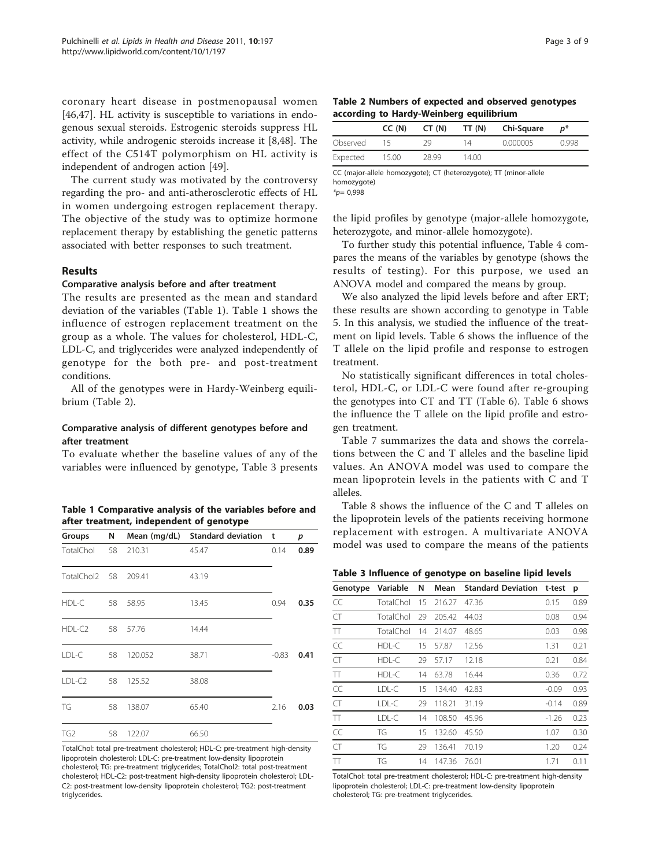<span id="page-2-0"></span>coronary heart disease in postmenopausal women [[46,](#page-7-0)[47](#page-8-0)]. HL activity is susceptible to variations in endogenous sexual steroids. Estrogenic steroids suppress HL activity, while androgenic steroids increase it [[8,](#page-7-0)[48\]](#page-8-0). The effect of the C514T polymorphism on HL activity is independent of androgen action [\[49](#page-8-0)].

The current study was motivated by the controversy regarding the pro- and anti-atherosclerotic effects of HL in women undergoing estrogen replacement therapy. The objective of the study was to optimize hormone replacement therapy by establishing the genetic patterns associated with better responses to such treatment.

# Results

#### Comparative analysis before and after treatment

The results are presented as the mean and standard deviation of the variables (Table 1). Table 1 shows the influence of estrogen replacement treatment on the group as a whole. The values for cholesterol, HDL-C, LDL-C, and triglycerides were analyzed independently of genotype for the both pre- and post-treatment conditions.

All of the genotypes were in Hardy-Weinberg equilibrium (Table 2).

# Comparative analysis of different genotypes before and after treatment

To evaluate whether the baseline values of any of the variables were influenced by genotype, Table 3 presents

Table 1 Comparative analysis of the variables before and after treatment, independent of genotype

| Groups          | N  | Mean (mg/dL) | <b>Standard deviation</b> | t       | p    |
|-----------------|----|--------------|---------------------------|---------|------|
| TotalChol       | 58 | 210.31       | 45.47                     | 0.14    | 0.89 |
| TotalChol2      | 58 | 209.41       | 43.19                     |         |      |
| HDL-C           | 58 | 58.95        | 13.45                     | 0.94    | 0.35 |
| $HDL-C2$        | 58 | 57.76        | 14.44                     |         |      |
| LDL-C           | 58 | 120.052      | 38.71                     | $-0.83$ | 0.41 |
| LDL-C2          | 58 | 125.52       | 38.08                     |         |      |
| TG              | 58 | 138.07       | 65.40                     | 2.16    | 0.03 |
| TG <sub>2</sub> | 58 | 122.07       | 66.50                     |         |      |

TotalChol: total pre-treatment cholesterol; HDL-C: pre-treatment high-density lipoprotein cholesterol; LDL-C: pre-treatment low-density lipoprotein cholesterol; TG: pre-treatment triglycerides; TotalChol2: total post-treatment cholesterol; HDL-C2: post-treatment high-density lipoprotein cholesterol; LDL-C2: post-treatment low-density lipoprotein cholesterol; TG2: post-treatment triglycerides.

Table 2 Numbers of expected and observed genotypes according to Hardy-Weinberg equilibrium

|          | CC (N) | CT (N) | TT (N) | Chi-Square | $p^*$ |
|----------|--------|--------|--------|------------|-------|
| Observed | 15     | 29     | 14     | 0.000005   | 0.998 |
| Expected | 15.00  | 28.99  | 14.00  |            |       |

CC (major-allele homozygote); CT (heterozygote); TT (minor-allele homozygote)

 $*_{p=0,998}$ 

the lipid profiles by genotype (major-allele homozygote, heterozygote, and minor-allele homozygote).

To further study this potential influence, Table [4](#page-3-0) compares the means of the variables by genotype (shows the results of testing). For this purpose, we used an ANOVA model and compared the means by group.

We also analyzed the lipid levels before and after ERT; these results are shown according to genotype in Table [5.](#page-3-0) In this analysis, we studied the influence of the treatment on lipid levels. Table [6](#page-4-0) shows the influence of the T allele on the lipid profile and response to estrogen treatment.

No statistically significant differences in total cholesterol, HDL-C, or LDL-C were found after re-grouping the genotypes into CT and TT (Table [6](#page-4-0)). Table [6](#page-4-0) shows the influence the T allele on the lipid profile and estrogen treatment.

Table [7](#page-4-0) summarizes the data and shows the correlations between the C and T alleles and the baseline lipid values. An ANOVA model was used to compare the mean lipoprotein levels in the patients with C and T alleles.

Table [8](#page-4-0) shows the influence of the C and T alleles on the lipoprotein levels of the patients receiving hormone replacement with estrogen. A multivariate ANOVA model was used to compare the means of the patients

Table 3 Influence of genotype on baseline lipid levels

| Genotype | Variable  | N  | Mean   | <b>Standard Deviation</b> | t-test  | р    |
|----------|-----------|----|--------|---------------------------|---------|------|
| CC       | TotalChol | 15 | 216.27 | 47.36                     | 0.15    | 0.89 |
| CT       | TotalChol | 29 | 205.42 | 44.03                     | 0.08    | 0.94 |
| TT       | TotalChol | 14 | 214.07 | 48.65                     | 0.03    | 0.98 |
| CC       | HDL-C     | 15 | 57.87  | 12.56                     | 1.31    | 0.21 |
| CT       | HDL-C     | 29 | 57.17  | 12.18                     | 0.21    | 0.84 |
| TT       | HDL-C     | 14 | 63.78  | 16.44                     | 0.36    | 0.72 |
| CC       | LDL-C     | 15 | 134.40 | 42.83                     | $-0.09$ | 0.93 |
| CT       | LDL-C     | 29 | 118.21 | 31.19                     | $-0.14$ | 0.89 |
| TT       | LDL-C     | 14 | 108.50 | 45.96                     | $-1.26$ | 0.23 |
| CC       | TG        | 15 | 132.60 | 45.50                     | 1.07    | 0.30 |
| CT       | TG        | 29 | 136.41 | 70.19                     | 1.20    | 0.24 |
| TT       | TG        | 14 | 147.36 | 76.01                     | 1.71    | 0.11 |

TotalChol: total pre-treatment cholesterol; HDL-C: pre-treatment high-density lipoprotein cholesterol; LDL-C: pre-treatment low-density lipoprotein cholesterol; TG: pre-treatment triglycerides.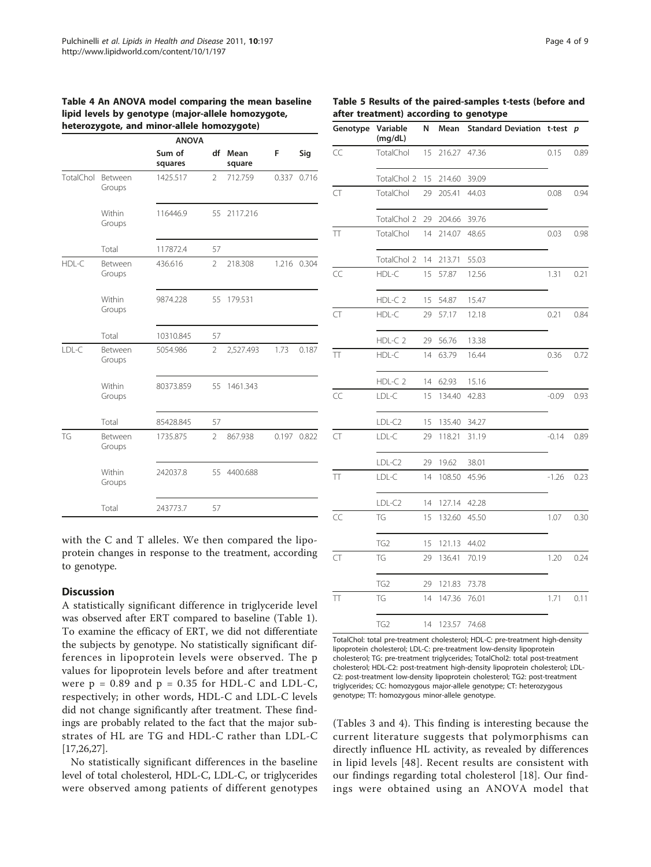<span id="page-3-0"></span>

| Table 4 An ANOVA model comparing the mean baseline |
|----------------------------------------------------|
| lipid levels by genotype (major-allele homozygote, |
| heterozygote, and minor-allele homozygote)         |

|           |                   | <b>ANOVA</b>      |                |                |       |       |
|-----------|-------------------|-------------------|----------------|----------------|-------|-------|
|           |                   | Sum of<br>squares | df             | Mean<br>square | F     | Sig   |
| TotalChol | Between<br>Groups | 1425.517          | $\mathfrak{D}$ | 712.759        | 0.337 | 0.716 |
|           | Within<br>Groups  | 116446.9          | 55             | 2117.216       |       |       |
|           | Total             | 117872.4          | 57             |                |       |       |
| HDL-C     | Between<br>Groups | 436.616           | $\overline{2}$ | 218.308        | 1.216 | 0.304 |
|           | Within<br>Groups  | 9874.228          | 55             | 179.531        |       |       |
|           | Total             | 10310.845         | 57             |                |       |       |
| LDL-C     | Between<br>Groups | 5054.986          | 2              | 2,527.493      | 1.73  | 0.187 |
|           | Within<br>Groups  | 80373.859         | 55             | 1461.343       |       |       |
|           | Total             | 85428.845         | 57             |                |       |       |
| <b>TG</b> | Between<br>Groups | 1735.875          | 2              | 867.938        | 0.197 | 0.822 |
|           | Within<br>Groups  | 242037.8          | 55             | 4400.688       |       |       |
|           | Total             | 243773.7          | 57             |                |       |       |

with the C and T alleles. We then compared the lipoprotein changes in response to the treatment, according to genotype.

# **Discussion**

A statistically significant difference in triglyceride level was observed after ERT compared to baseline (Table [1](#page-2-0)). To examine the efficacy of ERT, we did not differentiate the subjects by genotype. No statistically significant differences in lipoprotein levels were observed. The p values for lipoprotein levels before and after treatment were  $p = 0.89$  and  $p = 0.35$  for HDL-C and LDL-C, respectively; in other words, HDL-C and LDL-C levels did not change significantly after treatment. These findings are probably related to the fact that the major substrates of HL are TG and HDL-C rather than LDL-C [[17,26,27](#page-7-0)].

No statistically significant differences in the baseline level of total cholesterol, HDL-C, LDL-C, or triglycerides were observed among patients of different genotypes

| Table 5 Results of the paired-samples t-tests (before and |  |
|-----------------------------------------------------------|--|
| after treatment) according to genotype                    |  |

| Genotype                          | Variable<br>(mg/dL) | И  | Mean   | Standard Deviation t-test $p$ |         |      |
|-----------------------------------|---------------------|----|--------|-------------------------------|---------|------|
| CC                                | TotalChol           | 15 | 216.27 | 47.36                         | 0.15    | 0.89 |
|                                   | TotalChol 2         | 15 | 214.60 | 39.09                         |         |      |
| CT                                | <b>TotalChol</b>    | 29 | 205.41 | 44.03                         | 0.08    | 0.94 |
|                                   | TotalChol 2         | 29 | 204.66 | 39.76                         |         |      |
| $\top$                            | <b>TotalChol</b>    | 14 | 214.07 | 48.65                         | 0.03    | 0.98 |
|                                   | TotalChol 2         | 14 | 213.71 | 55.03                         |         |      |
| CC                                | HDL-C               | 15 | 57.87  | 12.56                         | 1.31    | 0.21 |
|                                   | HDL-C 2             | 15 | 54.87  | 15.47                         |         |      |
| CT                                | HDL-C               | 29 | 57.17  | 12.18                         | 0.21    | 0.84 |
|                                   | HDL-C 2             | 29 | 56.76  | 13.38                         |         |      |
| $\overline{\text{LT}}$            | HDL-C               | 14 | 63.79  | 16.44                         | 0.36    | 0.72 |
|                                   | HDL-C 2             | 14 | 62.93  | 15.16                         |         |      |
| CC                                | LDL-C               | 15 | 134.40 | 42.83                         | $-0.09$ | 0.93 |
|                                   | LDL-C2              | 15 | 135.40 | 34.27                         |         |      |
| CT                                | LDL-C               | 29 | 118.21 | 31.19                         | $-0.14$ | 0.89 |
|                                   | LDL-C2              | 29 | 19.62  | 38.01                         |         |      |
| $\overline{\mathbb{T}}\mathbb{T}$ | LDL-C               | 14 | 108.50 | 45.96                         | $-1.26$ | 0.23 |
|                                   | LDL-C2              | 14 | 127.14 | 42.28                         |         |      |
| CC                                | TG                  | 15 | 132.60 | 45.50                         | 1.07    | 0.30 |
|                                   | TG2                 | 15 | 121.13 | 44.02                         |         |      |
| CT                                | TG                  | 29 | 136.41 | 70.19                         | 1.20    | 0.24 |
|                                   | TG <sub>2</sub>     | 29 | 121.83 | 73.78                         |         |      |
| TT                                | TG                  | 14 | 147.36 | 76.01                         | 1.71    | 0.11 |
|                                   | TG <sub>2</sub>     | 14 | 123.57 | 74.68                         |         |      |

TotalChol: total pre-treatment cholesterol; HDL-C: pre-treatment high-density lipoprotein cholesterol; LDL-C: pre-treatment low-density lipoprotein cholesterol; TG: pre-treatment triglycerides; TotalChol2: total post-treatment cholesterol; HDL-C2: post-treatment high-density lipoprotein cholesterol; LDL-C2: post-treatment low-density lipoprotein cholesterol; TG2: post-treatment triglycerides; CC: homozygous major-allele genotype; CT: heterozygous genotype; TT: homozygous minor-allele genotype.

(Tables [3](#page-2-0) and 4). This finding is interesting because the current literature suggests that polymorphisms can directly influence HL activity, as revealed by differences in lipid levels [[48\]](#page-8-0). Recent results are consistent with our findings regarding total cholesterol [[18\]](#page-7-0). Our findings were obtained using an ANOVA model that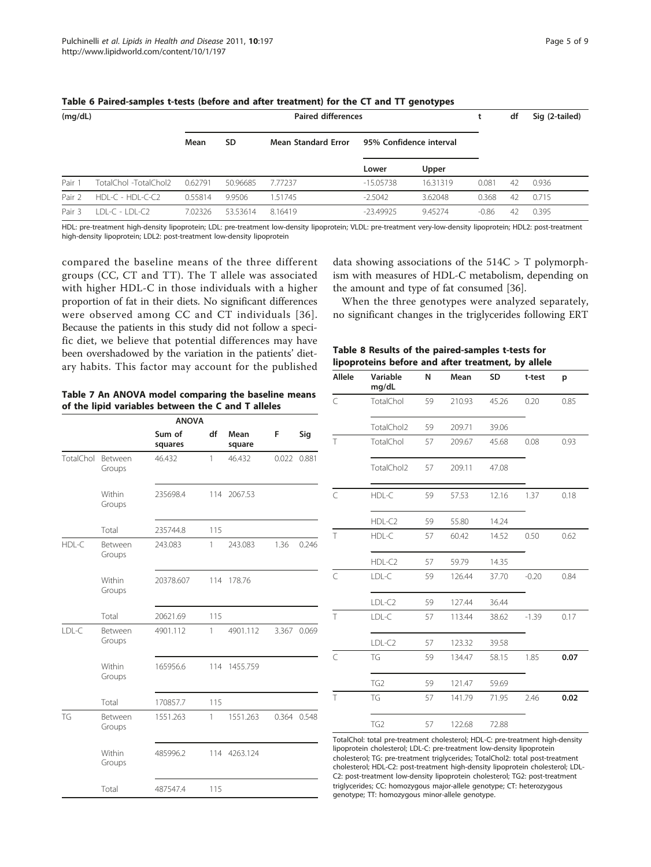| (mg/dL) |                        |         |          | <b>Paired differences</b>  |             | df                      |         |    | Sig (2-tailed) |  |
|---------|------------------------|---------|----------|----------------------------|-------------|-------------------------|---------|----|----------------|--|
|         |                        | Mean    | SD       | <b>Mean Standard Error</b> |             | 95% Confidence interval |         |    |                |  |
|         |                        |         |          |                            | Lower       | Upper                   |         |    |                |  |
| Pair 1  | TotalChol -TotalChol2  | 0.62791 | 50.96685 | 7.77237                    | $-15.05738$ | 16.31319                | 0.081   | 42 | 0.936          |  |
| Pair 2  | $HDI - C - HDI - C-C2$ | 0.55814 | 9.9506   | 1.51745                    | $-2.5042$   | 3.62048                 | 0.368   | 42 | 0.715          |  |
| Pair 3  | $ D -C- D -C2$         | 7.02326 | 53.53614 | 8.16419                    | $-23.49925$ | 9.45274                 | $-0.86$ | 42 | 0.395          |  |

<span id="page-4-0"></span>Table 6 Paired-samples t-tests (before and after treatment) for the CT and TT genotypes

HDL: pre-treatment high-density lipoprotein; LDL: pre-treatment low-density lipoprotein; VLDL: pre-treatment very-low-density lipoprotein; HDL2: post-treatment high-density lipoprotein; LDL2: post-treatment low-density lipoprotein

compared the baseline means of the three different groups (CC, CT and TT). The T allele was associated with higher HDL-C in those individuals with a higher proportion of fat in their diets. No significant differences were observed among CC and CT individuals [[36\]](#page-7-0). Because the patients in this study did not follow a specific diet, we believe that potential differences may have been overshadowed by the variation in the patients' dietary habits. This factor may account for the published

data showing associations of the  $514C > T$  polymorphism with measures of HDL-C metabolism, depending on the amount and type of fat consumed [[36\]](#page-7-0).

When the three genotypes were analyzed separately, no significant changes in the triglycerides following ERT

| Table 8 Results of the paired-samples t-tests for  |  |  |
|----------------------------------------------------|--|--|
| lipoproteins before and after treatment, by allele |  |  |

|           |                   | <b>ANOVA</b>      |     |                |       |             |
|-----------|-------------------|-------------------|-----|----------------|-------|-------------|
|           |                   | Sum of<br>squares | df  | Mean<br>square | F     | Sig         |
| TotalChol | Between<br>Groups | 46.432            | 1   | 46.432         | 0.022 | 0.881       |
|           | Within<br>Groups  | 235698.4          | 114 | 2067.53        |       |             |
|           | Total             | 235744.8          | 115 |                |       |             |
| HDL-C     | Between<br>Groups | 243.083           | 1   | 243.083        | 1.36  | 0.246       |
|           | Within<br>Groups  | 20378.607         | 114 | 178.76         |       |             |
|           | Total             | 20621.69          | 115 |                |       |             |
| $LDI - C$ | Between<br>Groups | 4901.112          | 1   | 4901.112       | 3.367 | 0.069       |
|           | Within<br>Groups  | 165956.6          | 114 | 1455.759       |       |             |
|           | Total             | 170857.7          | 115 |                |       |             |
| <b>TG</b> | Between<br>Groups | 1551.263          | 1   | 1551.263       |       | 0.364 0.548 |
|           | Within<br>Groups  | 485996.2          | 114 | 4263.124       |       |             |
|           | Total             | 487547.4          | 115 |                |       |             |

| Allele | Variable<br>mg/dL | N  | Mean   | SD    | t-test  | p    |
|--------|-------------------|----|--------|-------|---------|------|
| C      | TotalChol         | 59 | 210.93 | 45.26 | 0.20    | 0.85 |
|        | TotalChol2        | 59 | 209.71 | 39.06 |         |      |
| T      | TotalChol         | 57 | 209.67 | 45.68 | 0.08    | 0.93 |
|        | TotalChol2        | 57 | 209.11 | 47.08 |         |      |
| Ċ      | HDL-C             | 59 | 57.53  | 12.16 | 1.37    | 0.18 |
|        | HDL-C2            | 59 | 55.80  | 14.24 |         |      |
| T      | HDL-C             | 57 | 60.42  | 14.52 | 0.50    | 0.62 |
|        | HDL-C2            | 57 | 59.79  | 14.35 |         |      |
| Ċ      | LDL-C             | 59 | 126.44 | 37.70 | $-0.20$ | 0.84 |
|        | LDL-C2            | 59 | 127.44 | 36.44 |         |      |
| T      | LDL-C             | 57 | 113.44 | 38.62 | $-1.39$ | 0.17 |
|        | LDL-C2            | 57 | 123.32 | 39.58 |         |      |
| C      | TG                | 59 | 134.47 | 58.15 | 1.85    | 0.07 |
|        | TG <sub>2</sub>   | 59 | 121.47 | 59.69 |         |      |
| T      | TG                | 57 | 141.79 | 71.95 | 2.46    | 0.02 |
|        | TG <sub>2</sub>   | 57 | 122.68 | 72.88 |         |      |

TotalChol: total pre-treatment cholesterol; HDL-C: pre-treatment high-density lipoprotein cholesterol; LDL-C: pre-treatment low-density lipoprotein cholesterol; TG: pre-treatment triglycerides; TotalChol2: total post-treatment cholesterol; HDL-C2: post-treatment high-density lipoprotein cholesterol; LDL-C2: post-treatment low-density lipoprotein cholesterol; TG2: post-treatment triglycerides; CC: homozygous major-allele genotype; CT: heterozygous genotype; TT: homozygous minor-allele genotype.

Table 7 An ANOVA model comparing the baseline means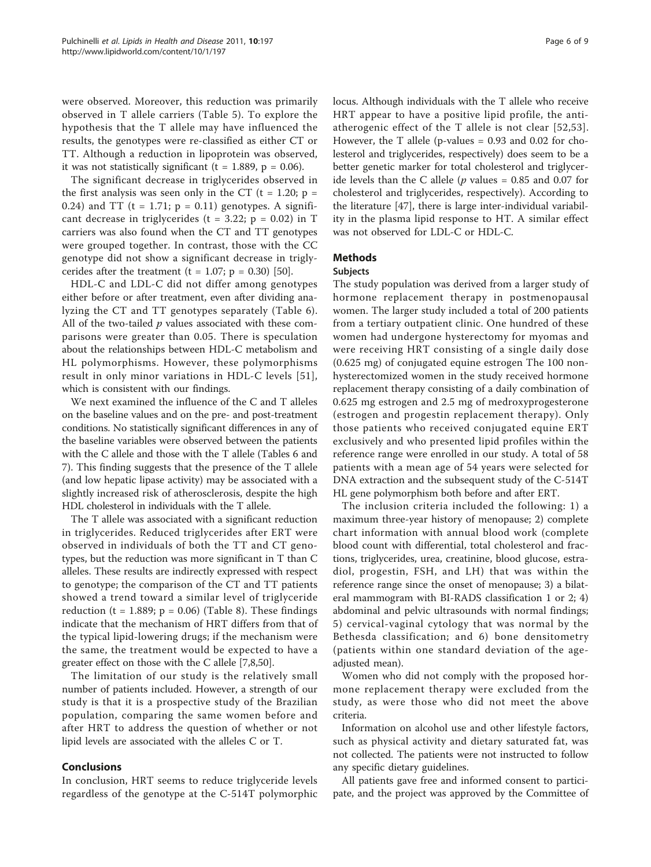were observed. Moreover, this reduction was primarily observed in T allele carriers (Table [5](#page-3-0)). To explore the hypothesis that the T allele may have influenced the results, the genotypes were re-classified as either CT or TT. Although a reduction in lipoprotein was observed, it was not statistically significant ( $t = 1.889$ ,  $p = 0.06$ ).

The significant decrease in triglycerides observed in the first analysis was seen only in the CT (t = 1.20;  $p =$ 0.24) and TT ( $t = 1.71$ ;  $p = 0.11$ ) genotypes. A significant decrease in triglycerides ( $t = 3.22$ ;  $p = 0.02$ ) in T carriers was also found when the CT and TT genotypes were grouped together. In contrast, those with the CC genotype did not show a significant decrease in triglycerides after the treatment  $(t = 1.07; p = 0.30)$  [\[50](#page-8-0)].

HDL-C and LDL-C did not differ among genotypes either before or after treatment, even after dividing analyzing the CT and TT genotypes separately (Table [6](#page-4-0)). All of the two-tailed  $p$  values associated with these comparisons were greater than 0.05. There is speculation about the relationships between HDL-C metabolism and HL polymorphisms. However, these polymorphisms result in only minor variations in HDL-C levels [[51\]](#page-8-0), which is consistent with our findings.

We next examined the influence of the C and T alleles on the baseline values and on the pre- and post-treatment conditions. No statistically significant differences in any of the baseline variables were observed between the patients with the C allele and those with the T allele (Tables [6](#page-4-0) and [7\)](#page-4-0). This finding suggests that the presence of the T allele (and low hepatic lipase activity) may be associated with a slightly increased risk of atherosclerosis, despite the high HDL cholesterol in individuals with the T allele.

The T allele was associated with a significant reduction in triglycerides. Reduced triglycerides after ERT were observed in individuals of both the TT and CT genotypes, but the reduction was more significant in T than C alleles. These results are indirectly expressed with respect to genotype; the comparison of the CT and TT patients showed a trend toward a similar level of triglyceride reduction (t = 1.889;  $p = 0.06$ ) (Table [8\)](#page-4-0). These findings indicate that the mechanism of HRT differs from that of the typical lipid-lowering drugs; if the mechanism were the same, the treatment would be expected to have a greater effect on those with the C allele [\[7,8,](#page-7-0)[50\]](#page-8-0).

The limitation of our study is the relatively small number of patients included. However, a strength of our study is that it is a prospective study of the Brazilian population, comparing the same women before and after HRT to address the question of whether or not lipid levels are associated with the alleles C or T.

# Conclusions

In conclusion, HRT seems to reduce triglyceride levels regardless of the genotype at the C-514T polymorphic locus. Although individuals with the T allele who receive HRT appear to have a positive lipid profile, the antiatherogenic effect of the T allele is not clear [[52](#page-8-0),[53](#page-8-0)]. However, the T allele (p-values = 0.93 and 0.02 for cholesterol and triglycerides, respectively) does seem to be a better genetic marker for total cholesterol and triglyceride levels than the C allele ( $p$  values = 0.85 and 0.07 for cholesterol and triglycerides, respectively). According to the literature [\[47](#page-8-0)], there is large inter-individual variability in the plasma lipid response to HT. A similar effect was not observed for LDL-C or HDL-C.

# Methods

# Subjects

The study population was derived from a larger study of hormone replacement therapy in postmenopausal women. The larger study included a total of 200 patients from a tertiary outpatient clinic. One hundred of these women had undergone hysterectomy for myomas and were receiving HRT consisting of a single daily dose (0.625 mg) of conjugated equine estrogen The 100 nonhysterectomized women in the study received hormone replacement therapy consisting of a daily combination of 0.625 mg estrogen and 2.5 mg of medroxyprogesterone (estrogen and progestin replacement therapy). Only those patients who received conjugated equine ERT exclusively and who presented lipid profiles within the reference range were enrolled in our study. A total of 58 patients with a mean age of 54 years were selected for DNA extraction and the subsequent study of the C-514T HL gene polymorphism both before and after ERT.

The inclusion criteria included the following: 1) a maximum three-year history of menopause; 2) complete chart information with annual blood work (complete blood count with differential, total cholesterol and fractions, triglycerides, urea, creatinine, blood glucose, estradiol, progestin, FSH, and LH) that was within the reference range since the onset of menopause; 3) a bilateral mammogram with BI-RADS classification 1 or 2; 4) abdominal and pelvic ultrasounds with normal findings; 5) cervical-vaginal cytology that was normal by the Bethesda classification; and 6) bone densitometry (patients within one standard deviation of the ageadjusted mean).

Women who did not comply with the proposed hormone replacement therapy were excluded from the study, as were those who did not meet the above criteria.

Information on alcohol use and other lifestyle factors, such as physical activity and dietary saturated fat, was not collected. The patients were not instructed to follow any specific dietary guidelines.

All patients gave free and informed consent to participate, and the project was approved by the Committee of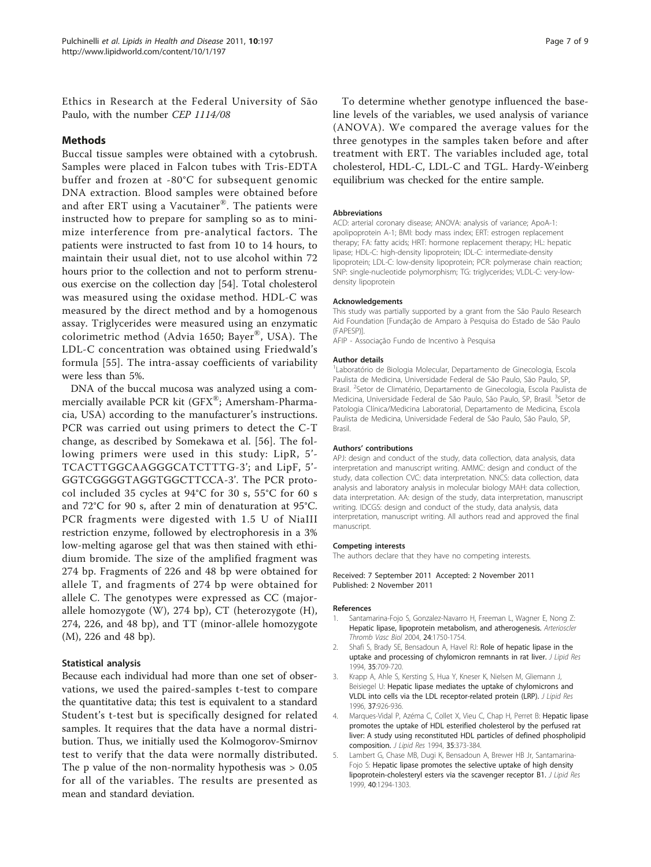<span id="page-6-0"></span>Ethics in Research at the Federal University of São Paulo, with the number CEP 1114/08

# Methods

Buccal tissue samples were obtained with a cytobrush. Samples were placed in Falcon tubes with Tris-EDTA buffer and frozen at -80°C for subsequent genomic DNA extraction. Blood samples were obtained before and after ERT using a Vacutainer®. The patients were instructed how to prepare for sampling so as to minimize interference from pre-analytical factors. The patients were instructed to fast from 10 to 14 hours, to maintain their usual diet, not to use alcohol within 72 hours prior to the collection and not to perform strenuous exercise on the collection day [[54\]](#page-8-0). Total cholesterol was measured using the oxidase method. HDL-C was measured by the direct method and by a homogenous assay. Triglycerides were measured using an enzymatic colorimetric method (Advia 1650; Bayer®, USA). The LDL-C concentration was obtained using Friedwald's formula [[55](#page-8-0)]. The intra-assay coefficients of variability were less than 5%.

DNA of the buccal mucosa was analyzed using a commercially available PCR kit (GFX<sup>®</sup>; Amersham-Pharmacia, USA) according to the manufacturer's instructions. PCR was carried out using primers to detect the C-T change, as described by Somekawa et al. [[56\]](#page-8-0). The following primers were used in this study: LipR, 5'- TCACTTGGCAAGGGCATCTTTG-3'; and LipF, 5'- GGTCGGGGTAGGTGGCTTCCA-3'. The PCR protocol included 35 cycles at 94°C for 30 s, 55°C for 60 s and 72°C for 90 s, after 2 min of denaturation at 95°C. PCR fragments were digested with 1.5 U of NiaIII restriction enzyme, followed by electrophoresis in a 3% low-melting agarose gel that was then stained with ethidium bromide. The size of the amplified fragment was 274 bp. Fragments of 226 and 48 bp were obtained for allele T, and fragments of 274 bp were obtained for allele C. The genotypes were expressed as CC (majorallele homozygote (W), 274 bp), CT (heterozygote (H), 274, 226, and 48 bp), and TT (minor-allele homozygote (M), 226 and 48 bp).

#### Statistical analysis

Because each individual had more than one set of observations, we used the paired-samples t-test to compare the quantitative data; this test is equivalent to a standard Student's t-test but is specifically designed for related samples. It requires that the data have a normal distribution. Thus, we initially used the Kolmogorov-Smirnov test to verify that the data were normally distributed. The p value of the non-normality hypothesis was > 0.05 for all of the variables. The results are presented as mean and standard deviation.

To determine whether genotype influenced the baseline levels of the variables, we used analysis of variance (ANOVA). We compared the average values for the three genotypes in the samples taken before and after treatment with ERT. The variables included age, total cholesterol, HDL-C, LDL-C and TGL. Hardy-Weinberg equilibrium was checked for the entire sample.

#### Abbreviations

ACD: arterial coronary disease; ANOVA: analysis of variance; ApoA-1: apolipoprotein A-1; BMI: body mass index; ERT: estrogen replacement therapy; FA: fatty acids; HRT: hormone replacement therapy; HL: hepatic lipase; HDL-C: high-density lipoprotein; IDL-C: intermediate-density lipoprotein; LDL-C: low-density lipoprotein; PCR: polymerase chain reaction; SNP: single-nucleotide polymorphism; TG: triglycerides; VLDL-C: very-lowdensity lipoprotein

#### Acknowledgements

This study was partially supported by a grant from the São Paulo Research Aid Foundation [Fundação de Amparo à Pesquisa do Estado de São Paulo (FAPESP)].

AFIP - Associação Fundo de Incentivo à Pesquisa

#### Author details

<sup>1</sup> Laboratório de Biologia Molecular, Departamento de Ginecologia, Escola Paulista de Medicina, Universidade Federal de São Paulo, São Paulo, SP, Brasil. <sup>2</sup>Setor de Climatério, Departamento de Ginecologia, Escola Paulista de Medicina, Universidade Federal de São Paulo, São Paulo, SP, Brasil. <sup>3</sup>Setor de Patologia Clínica/Medicina Laboratorial, Departamento de Medicina, Escola Paulista de Medicina, Universidade Federal de São Paulo, São Paulo, SP, Brasil.

#### Authors' contributions

APJ: design and conduct of the study, data collection, data analysis, data interpretation and manuscript writing. AMMC: design and conduct of the study, data collection CVC: data interpretation. NNCS: data collection, data analysis and laboratory analysis in molecular biology MAH: data collection, data interpretation. AA: design of the study, data interpretation, manuscript writing. IDCGS: design and conduct of the study, data analysis, data interpretation, manuscript writing. All authors read and approved the final manuscript.

#### Competing interests

The authors declare that they have no competing interests.

Received: 7 September 2011 Accepted: 2 November 2011 Published: 2 November 2011

#### References

- Santamarina-Fojo S, Gonzalez-Navarro H, Freeman L, Wagner E, Nong Z: Hepatic lipase, lipoprotein metabolism, and atherogenesis. Arterioscler Thromb Vasc Biol 2004, 24:1750-1754.
- 2. Shafi S, Brady SE, Bensadoun A, Havel RJ: Role of hepatic lipase in the uptake and processing of chylomicron remnants in rat liver. J Lipid Res 1994, 35:709-720.
- 3. Krapp A, Ahle S, Kersting S, Hua Y, Kneser K, Nielsen M, Gliemann J, Beisiegel U: Hepatic lipase mediates the uptake of chylomicrons and VLDL into cells via the LDL receptor-related protein (LRP). J Lipid Res 1996, 37:926-936.
- 4. Marques-Vidal P, Azéma C, Collet X, Vieu C, Chap H, Perret B: Hepatic lipase promotes the uptake of HDL esterified cholesterol by the perfused rat liver: A study using reconstituted HDL particles of defined phospholipid composition. J Lipid Res 1994, 35:373-384.
- 5. Lambert G, Chase MB, Dugi K, Bensadoun A, Brewer HB Jr, Santamarina-Fojo S: Hepatic lipase promotes the selective uptake of high density lipoprotein-cholesteryl esters via the scavenger receptor B1. J Lipid Res 1999, 40:1294-1303.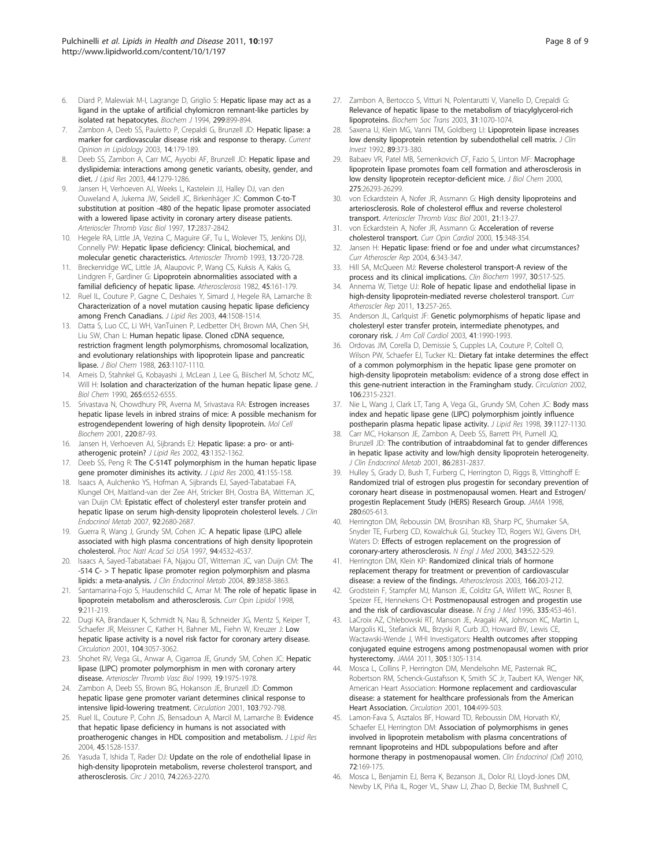- <span id="page-7-0"></span>6. Diard P, Malewiak M-I, Lagrange D, Griglio S: Hepatic lipase may act as a ligand in the uptake of artificial chylomicron remnant-like particles by isolated rat hepatocytes. Biochem J 1994, 299:899-894.
- 7. Zambon A, Deeb SS, Pauletto P, Crepaldi G, Brunzell JD: Hepatic lipase: a marker for cardiovascular disease risk and response to therapy. Current Opinion in Lipidology 2003, 14:179-189.
- Deeb SS, Zambon A, Carr MC, Ayyobi AF, Brunzell JD: Hepatic lipase and dyslipidemia: interactions among genetic variants, obesity, gender, and diet. J Lipid Res 2003, 44:1279-1286.
- 9. Jansen H, Verhoeven AJ, Weeks L, Kastelein JJ, Halley DJ, van den Ouweland A, Jukema JW, Seidell JC, Birkenhäger JC: Common C-to-T substitution at position -480 of the hepatic lipase promoter associated with a lowered lipase activity in coronary artery disease patients. Arterioscler Thromb Vasc Biol 1997, 17:2837-2842.
- 10. Hegele RA, Little JA, Vezina C, Maguire GF, Tu L, Wolever TS, Jenkins D|J, Connelly PW: Hepatic lipase deficiency: Clinical, biochemical, and molecular genetic characteristics. Arterioscler Thromb 1993, 13:720-728.
- 11. Breckenridge WC, Little JA, Alaupovic P, Wang CS, Kuksis A, Kakis G, Lindgren F, Gardiner G: Lipoprotein abnormalities associated with a familial deficiency of hepatic lipase. Atherosclerosis 1982, 45:161-179.
- 12. Ruel IL, Couture P, Gagne C, Deshaies Y, Simard J, Hegele RA, Lamarche B: Characterization of a novel mutation causing hepatic lipase deficiency among French Canadians. J Lipid Res 2003, 44:1508-1514.
- 13. Datta S, Luo CC, Li WH, VanTuinen P, Ledbetter DH, Brown MA, Chen SH, Liu SW, Chan L: Human hepatic lipase. Cloned cDNA sequence, restriction fragment length polymorphisms, chromosomal localization, and evolutionary relationships with lipoprotein lipase and pancreatic lipase. J Biol Chem 1988, 263:1107-1110.
- 14. Ameis D, Stahnkel G, Kobayashi J, McLean J, Lee G, Biischerl M, Schotz MC, Will H: Isolation and characterization of the human hepatic lipase gene. J Biol Chem 1990, 265:6552-6555.
- Srivastava N, Chowdhury PR, Averna M, Srivastava RA: Estrogen increases hepatic lipase levels in inbred strains of mice: A possible mechanism for estrogendependent lowering of high density lipoprotein. Mol Cell Biochem 2001, 220:87-93.
- 16. Jansen H, Verhoeven AJ, Sijbrands EJ: Hepatic lipase: a pro- or antiatherogenic protein? J Lipid Res 2002, 43:1352-1362.
- 17. Deeb SS, Peng R: The C-514T polymorphism in the human hepatic lipase gene promoter diminishes its activity. J Lipid Res 2000, 41:155-158.
- 18. Isaacs A, Aulchenko YS, Hofman A, Sijbrands EJ, Sayed-Tabatabaei FA, Klungel OH, Maitland-van der Zee AH, Stricker BH, Oostra BA, Witteman JC, van Duijn CM: Epistatic effect of cholesteryl ester transfer protein and hepatic lipase on serum high-density lipoprotein cholesterol levels. J Clin Endocrinol Metab 2007, 92:2680-2687.
- 19. Guerra R, Wang J, Grundy SM, Cohen JC: A hepatic lipase (LIPC) allele associated with high plasma concentrations of high density lipoprotein cholesterol. Proc Natl Acad Sci USA 1997, 94:4532-4537.
- 20. Isaacs A, Sayed-Tabatabaei FA, Njajou OT, Witteman JC, van Duijn CM: The -514 C- > T hepatic lipase promoter region polymorphism and plasma lipids: a meta-analysis. J Clin Endocrinol Metab 2004, 89:3858-3863.
- 21. Santamarina-Fojo S, Haudenschild C, Amar M: The role of hepatic lipase in lipoprotein metabolism and atherosclerosis. Curr Opin Lipidol 1998, 9:211-219.
- 22. Dugi KA, Brandauer K, Schmidt N, Nau B, Schneider JG, Mentz S, Keiper T, Schaefer JR, Meissner C, Kather H, Bahner ML, Fiehn W, Kreuzer J: Low hepatic lipase activity is a novel risk factor for coronary artery disease. Circulation 2001, 104:3057-3062.
- 23. Shohet RV, Vega GL, Anwar A, Cigarroa JE, Grundy SM, Cohen JC: Hepatic lipase (LIPC) promoter polymorphism in men with coronary artery disease. Arterioscler Thromb Vasc Biol 1999, 19:1975-1978.
- 24. Zambon A, Deeb SS, Brown BG, Hokanson JE, Brunzell JD: Common hepatic lipase gene promoter variant determines clinical response to intensive lipid-lowering treatment. Circulation 2001, 103:792-798.
- 25. Ruel IL, Couture P, Cohn JS, Bensadoun A, Marcil M, Lamarche B: Evidence that hepatic lipase deficiency in humans is not associated with proatherogenic changes in HDL composition and metabolism. J Lipid Res 2004, 45:1528-1537.
- Yasuda T, Ishida T, Rader DJ: Update on the role of endothelial lipase in high-density lipoprotein metabolism, reverse cholesterol transport, and atherosclerosis. Circ J 2010, 74:2263-2270.
- 27. Zambon A, Bertocco S, Vitturi N, Polentarutti V, Vianello D, Crepaldi G: Relevance of hepatic lipase to the metabolism of triacylglycerol-rich lipoproteins. Biochem Soc Trans 2003, 31:1070-1074.
- 28. Saxena U, Klein MG, Vanni TM, Goldberg LI: Lipoprotein lipase increases low density lipoprotein retention by subendothelial cell matrix. J Clin Invest 1992, 89:373-380.
- 29. Babaev VR, Patel MB, Semenkovich CF, Fazio S, Linton MF: Macrophage lipoprotein lipase promotes foam cell formation and atherosclerosis in low density lipoprotein receptor-deficient mice. J Biol Chem 2000, 275:26293-26299.
- 30. von Eckardstein A, Nofer JR, Assmann G: High density lipoproteins and arteriosclerosis. Role of cholesterol efflux and reverse cholesterol transport. Arterioscler Thromb Vasc Biol 2001, 21:13-27.
- 31. von Eckardstein A, Nofer JR, Assmann G: Acceleration of reverse cholesterol transport. Curr Opin Cardiol 2000, 15:348-354.
- Jansen H: Hepatic lipase: friend or foe and under what circumstances? Curr Atheroscler Rep 2004, 6:343-347.
- 33. Hill SA, McQueen MJ: Reverse cholesterol transport-A review of the process and its clinical implications. Clin Biochem 1997, 30:517-525.
- 34. Annema W, Tietge UJ: Role of hepatic lipase and endothelial lipase in high-density lipoprotein-mediated reverse cholesterol transport. Curr Atheroscler Rep 2011, 13:257-265.
- 35. Anderson JL, Carlquist JF: Genetic polymorphisms of hepatic lipase and cholesteryl ester transfer protein, intermediate phenotypes, and coronary risk. J Am Coll Cardiol 2003, 41:1990-1993.
- 36. Ordovas JM, Corella D, Demissie S, Cupples LA, Couture P, Coltell O, Wilson PW, Schaefer EJ, Tucker KL: Dietary fat intake determines the effect of a common polymorphism in the hepatic lipase gene promoter on high-density lipoprotein metabolism: evidence of a strong dose effect in this gene-nutrient interaction in the Framingham study. Circulation 2002, 106:2315-2321.
- 37. Nie L, Wang J, Clark LT, Tang A, Vega GL, Grundy SM, Cohen JC: Body mass index and hepatic lipase gene (LIPC) polymorphism jointly influence postheparin plasma hepatic lipase activity. J Lipid Res 1998, 39:1127-1130.
- Carr MC, Hokanson JE, Zambon A, Deeb SS, Barrett PH, Purnell JQ, Brunzell JD: The contribution of intraabdominal fat to gender differences in hepatic lipase activity and low/high density lipoprotein heterogeneity. J Clin Endocrinol Metab 2001, 86:2831-2837.
- 39. Hulley S, Grady D, Bush T, Furberg C, Herrington D, Riggs B, Vittinghoff E: Randomized trial of estrogen plus progestin for secondary prevention of coronary heart disease in postmenopausal women. Heart and Estrogen/ progestin Replacement Study (HERS) Research Group. JAMA 1998, 280:605-613.
- 40. Herrington DM, Reboussin DM, Brosnihan KB, Sharp PC, Shumaker SA, Snyder TE, Furberg CD, Kowalchuk GJ, Stuckey TD, Rogers WJ, Givens DH, Waters D: Effects of estrogen replacement on the progression of coronary-artery atherosclerosis. N Engl J Med 2000, 343:522-529.
- 41. Herrington DM, Klein KP: Randomized clinical trials of hormone replacement therapy for treatment or prevention of cardiovascular disease: a review of the findings. Atherosclerosis 2003, 166:203-212.
- 42. Grodstein F, Stampfer MJ, Manson JE, Colditz GA, Willett WC, Rosner B, Speizer FE, Hennekens CH: Postmenopausal estrogen and progestin use and the risk of cardiovascular disease. N Eng J Med 1996, 335:453-461.
- 43. LaCroix AZ, Chlebowski RT, Manson JE, Aragaki AK, Johnson KC, Martin L, Margolis KL, Stefanick ML, Brzyski R, Curb JD, Howard BV, Lewis CE, Wactawski-Wende J, WHI Investigators: Health outcomes after stopping conjugated equine estrogens among postmenopausal women with prior hysterectomy. JAMA 2011, 305:1305-1314.
- 44. Mosca L, Collins P, Herrington DM, Mendelsohn ME, Pasternak RC, Robertson RM, Schenck-Gustafsson K, Smith SC Jr, Taubert KA, Wenger NK, American Heart Association: Hormone replacement and cardiovascular disease: a statement for healthcare professionals from the American Heart Association. Circulation 2001, 104:499-503.
- 45. Lamon-Fava S, Asztalos BF, Howard TD, Reboussin DM, Horvath KV, Schaefer EJ, Herrington DM: Association of polymorphisms in genes involved in lipoprotein metabolism with plasma concentrations of remnant lipoproteins and HDL subpopulations before and after hormone therapy in postmenopausal women. Clin Endocrinol (Oxf) 2010, 72:169-175.
- 46. Mosca L, Benjamin EJ, Berra K, Bezanson JL, Dolor RJ, Lloyd-Jones DM, Newby LK, Piña IL, Roger VL, Shaw LJ, Zhao D, Beckie TM, Bushnell C,